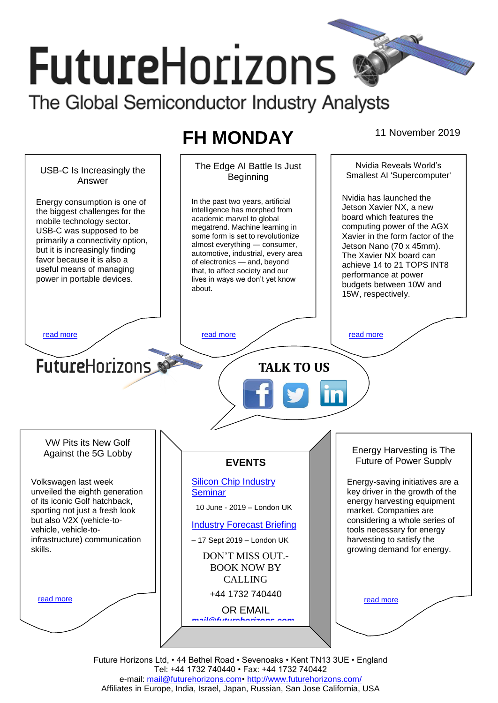# **FutureHorizons** The Global Semiconductor Industry Analysts

# **FH MONDAY** 11 November 2019



Future Horizons Ltd, • 44 Bethel Road • Sevenoaks • Kent TN13 3UE • England Tel: +44 1732 740440 • Fax: +44 1732 740442 e-mail: [mail@futurehorizons.com•](../FH%20Monday%20-%202017/mail@futurehorizons.com)<http://www.futurehorizons.com/> Affiliates in Europe, India, Israel, Japan, Russian, San Jose California, USA